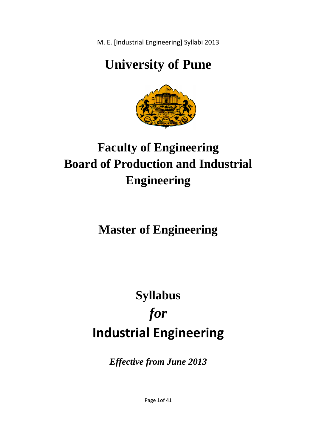# **University of Pune**



# **Faculty of Engineering Board of Production and Industrial Engineering**

# **Master of Engineering**

# **Industrial Engineering Industrial Syllabus**  *for*

*Effective from June 2013*

Page 1of 41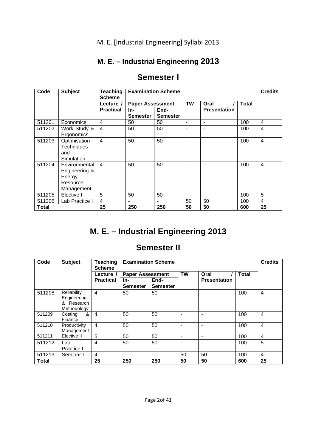# **M. E. – Industrial Engineering 2013**

| Code   | <b>Subject</b>    | Teaching         | <b>Examination Scheme</b> |                 |           | <b>Credits</b>      |       |                |
|--------|-------------------|------------------|---------------------------|-----------------|-----------|---------------------|-------|----------------|
|        |                   | <b>Scheme</b>    |                           |                 |           |                     |       |                |
|        |                   | Lecture /        | <b>Paper Assessment</b>   |                 | <b>TW</b> | Oral                | Total |                |
|        |                   | <b>Practical</b> | In-                       | End-            |           | <b>Presentation</b> |       |                |
|        |                   |                  | Semester                  | <b>Semester</b> |           |                     |       |                |
| 511201 | Economics         | 4                | 50                        | 50              |           |                     | 100   | 4              |
| 511202 | Work Study &      | $\overline{4}$   | 50                        | 50              | ٠         |                     | 100   | 4              |
|        | Ergonomics        |                  |                           |                 |           |                     |       |                |
| 511203 | Optimisation      | $\overline{4}$   | 50                        | 50              |           |                     | 100   | 4              |
|        | <b>Techniques</b> |                  |                           |                 |           |                     |       |                |
|        | and               |                  |                           |                 |           |                     |       |                |
|        | Simulation        |                  |                           |                 |           |                     |       |                |
| 511204 | Environmental     | $\overline{4}$   | 50                        | 50              |           |                     | 100   | $\overline{4}$ |
|        | Engineering &     |                  |                           |                 |           |                     |       |                |
|        | Energy            |                  |                           |                 |           |                     |       |                |
|        | Resource          |                  |                           |                 |           |                     |       |                |
|        | Management        |                  |                           |                 |           |                     |       |                |
| 511205 | Elective I        | 5                | 50                        | 50              |           |                     | 100   | 5              |
| 511206 | Lab Practice I    | $\overline{4}$   |                           |                 | 50        | 50                  | 100   | 4              |
| Total  |                   | 25               | 250                       | 250             | 50        | 50                  | 600   | 25             |

# **Semester I**

# **M. E. – Industrial Engineering 2013**

# **Semester II**

| Code         | <b>Subject</b>          | <b>Teaching</b><br><b>Scheme</b> | <b>Examination Scheme</b> |                 |                |                     | <b>Credits</b> |                |
|--------------|-------------------------|----------------------------------|---------------------------|-----------------|----------------|---------------------|----------------|----------------|
|              | Lecture /               |                                  | <b>Paper Assessment</b>   |                 | <b>TW</b>      | Oral                | <b>Total</b>   |                |
|              |                         | <b>Practical</b>                 | In-                       | End-            |                | <b>Presentation</b> |                |                |
|              |                         |                                  | <b>Semester</b>           | <b>Semester</b> |                |                     |                |                |
| 511208       | Reliability             | $\overline{4}$                   | 50                        | 50              | ۰              | ۰                   | 100            | 4              |
|              | Engineering             |                                  |                           |                 |                |                     |                |                |
|              | Research<br>&           |                                  |                           |                 |                |                     |                |                |
|              | Methodology             |                                  |                           |                 |                |                     |                |                |
| 511209       | &<br>Costing<br>Finance | $\overline{4}$                   | 50                        | 50              |                | ۰                   | 100            | 4              |
| 511210       | Productivity            | $\overline{4}$                   | 50                        | 50              | ۰              | ۰                   | 100            | $\overline{4}$ |
|              | Management              |                                  |                           |                 |                |                     |                |                |
| 511211       | Elective II             | 5                                | 50                        | 50              | $\blacksquare$ | ۰                   | 100            | 4              |
| 511212       | Lab                     | $\overline{4}$                   | 50                        | 50              |                | ٠                   | 100            | 5              |
|              | Practice II             |                                  |                           |                 |                |                     |                |                |
| 511213       | Seminar I               | $\overline{4}$                   | $\blacksquare$            |                 | 50             | 50                  | 100            | 4              |
| <b>Total</b> |                         | 25                               | 250                       | 250             | 50             | 50                  | 600            | 25             |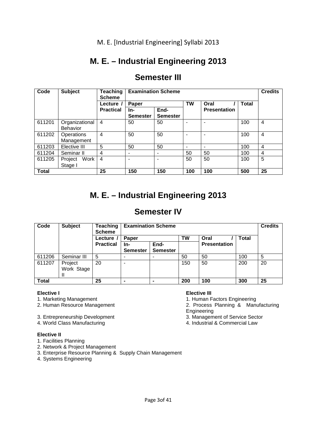# **M. E. – Industrial Engineering 2013**

| <b>Semester III</b> |  |
|---------------------|--|
|---------------------|--|

| Code         | <b>Subject</b>  | <b>Teaching</b><br><b>Scheme</b> | <b>Examination Scheme</b> |                          |           | <b>Credits</b>      |              |    |
|--------------|-----------------|----------------------------------|---------------------------|--------------------------|-----------|---------------------|--------------|----|
|              |                 | Lecture /                        | Paper                     |                          | <b>TW</b> | Oral                | <b>Total</b> |    |
|              |                 | <b>Practical</b>                 | In-                       | End-                     |           | <b>Presentation</b> |              |    |
|              |                 |                                  | <b>Semester</b>           | <b>Semester</b>          |           |                     |              |    |
| 611201       | Organizational  | $\overline{4}$                   | 50                        | 50                       |           |                     | 100          | 4  |
|              | <b>Behavior</b> |                                  |                           |                          |           |                     |              |    |
| 611202       | Operations      | 4                                | 50                        | 50                       |           |                     | 100          | 4  |
|              | Management      |                                  |                           |                          |           |                     |              |    |
| 611203       | Elective III    | 5                                | 50                        | 50                       |           |                     | 100          | 4  |
| 611204       | Seminar II      | 4                                | $\overline{\phantom{0}}$  | $\overline{\phantom{0}}$ | 50        | 50                  | 100          | 4  |
| 611205       | Work<br>Project | $\overline{4}$                   | $\overline{\phantom{0}}$  |                          | 50        | 50                  | 100          | 5  |
|              | Stage I         |                                  |                           |                          |           |                     |              |    |
| <b>Total</b> |                 | 25                               | 150                       | 150                      | 100       | 100                 | 500          | 25 |

# **M. E. – Industrial Engineering 2013**

# **Semester IV**

| Code         | <b>Subject</b> | Teaching<br><b>Scheme</b> | <b>Examination Scheme</b> |                 |     | <b>Credits</b>      |              |    |
|--------------|----------------|---------------------------|---------------------------|-----------------|-----|---------------------|--------------|----|
|              |                | Lecture /                 | Paper                     |                 | TW  | Oral                | <b>Total</b> |    |
|              |                | <b>Practical</b>          | -ln                       | End-            |     | <b>Presentation</b> |              |    |
|              |                |                           | <b>Semester</b>           | <b>Semester</b> |     |                     |              |    |
| 611206       | Seminar III    | 5                         |                           |                 | 50  | 50                  | 100          | 5  |
| 611207       | Project        | 20                        |                           |                 | 150 | 50                  | 200          | 20 |
|              | Work Stage     |                           |                           |                 |     |                     |              |    |
|              | Ш              |                           |                           |                 |     |                     |              |    |
| <b>Total</b> |                | 25                        |                           |                 | 200 | 100                 | 300          | 25 |

1. Marketing Management 1. Human Factors Engineering<br>2. Human Resource Management 1. Human Factors Engineering<br>2. Process Planning & Man

3. Entrepreneurship Development 3. Management of Service Sect<br>4. World Class Manufacturing 4. World Class of Manufacturing

4. World Class Manufacturing

## **Elective II**

- 1. Facilities Planning
- 2. Network & Project Management

3. Enterprise Resource Planning & Supply Chain Management

4. Systems Engineering

## **Elective II Elective III**

2. Process Planning & Manufacturing

**Engineering**<br>3. Management of Service Sector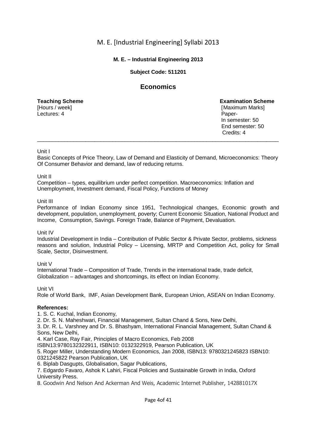## **M. E. – Industrial Engineering 2013**

## **Subject Code: 511201**

## **Economics**

[Hours / week] [Maximum Marks] [Maximum Marks] [Maximum Marks] Lectures: 4

**Teaching Scheme Examination Scheme**  In semester: 50 End semester: 50 Credits: 4

#### Unit I

Basic Concepts of Price Theory, Law of Demand and Elasticity of Demand, Microeconomics: Theory Of Consumer Behavior and demand, law of reducing returns.

\_\_\_\_\_\_\_\_\_\_\_\_\_\_\_\_\_\_\_\_\_\_\_\_\_\_\_\_\_\_\_\_\_\_\_\_\_\_\_\_\_\_\_\_\_\_\_\_\_\_\_\_\_\_\_\_\_\_\_\_\_\_\_\_\_\_\_\_\_\_\_\_\_\_\_\_\_\_\_\_

Unit II

Competition – types, equilibrium under perfect competition. Macroeconomics: Inflation and Unemployment, Investment demand, Fiscal Policy, Functions of Money

#### Unit III

Performance of Indian Economy since 1951, Technological changes, Economic growth and development, population, unemployment, poverty; Current Economic Situation, National Product and Income, Consumption, Savings. Foreign Trade, Balance of Payment, Devaluation.

#### Unit IV

Industrial Development in India – Contribution of Public Sector & Private Sector, problems, sickness reasons and solution, Industrial Policy – Licensing, MRTP and Competition Act, policy for Small Scale, Sector, Disinvestment.

## Unit V

International Trade – Composition of Trade, Trends in the international trade, trade deficit, Globalization – advantages and shortcomings, its effect on Indian Economy.

## Unit VI

Role of World Bank, IMF, Asian Development Bank, European Union, ASEAN on Indian Economy.

## **References:**

1. S. C. Kuchal, Indian Economy,

2. Dr. S. N. Maheshwari, Financial Management, Sultan Chand & Sons, New Delhi,

3. Dr. R. L. Varshney and Dr. S. Bhashyam, International Financial Management, Sultan Chand & Sons, New Delhi,

4. Karl Case, Ray Fair, Principles of Macro Economics, Feb 2008

ISBN13:9780132322911, ISBN10: 0132322919, Pearson Publication, UK

5. Roger Miller, Understanding Modern Economics, Jan 2008, ISBN13: 9780321245823 ISBN10: 0321245822 Pearson Publication, UK

6. Biplab Dasgupts, Globalisation, Sagar Publications,

7. Edgardo Favaro, Ashok K Lahiri, Fiscal Policies and Sustainable Growth in India, Oxford University Press.

8. Goodwin And Nelson And Ackerman And Weis, Academic Internet Publisher, 142881017X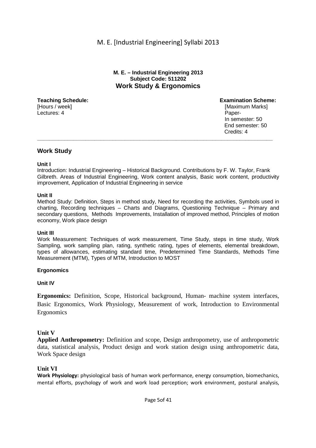## **M. E. – Industrial Engineering 2013 Subject Code: 511202 Work Study & Ergonomics**

[Hours / week] **[Maximum Marks]** [Maximum Marks] Lectures: 4 Paper-

**Teaching Schedule: Examination Scheme:**  In semester: 50 End semester: 50 **Credits: 4** Credits: 4 **\_\_\_\_\_\_\_\_\_\_\_\_\_\_\_\_\_\_\_\_\_\_\_\_\_\_\_\_\_\_\_\_\_\_\_\_\_\_\_\_\_\_\_\_\_\_\_\_\_\_\_\_\_\_\_\_\_\_\_\_\_\_\_\_\_\_\_\_\_\_\_\_\_\_\_\_\_\_**

## **Work Study**

## **Unit I**

Introduction: Industrial Engineering – Historical Background. Contributions by F. W. Taylor, Frank Gilbreth. Areas of Industrial Engineering, Work content analysis, Basic work content, productivity improvement, Application of Industrial Engineering in service

## **Unit II**

Method Study: Definition, Steps in method study, Need for recording the activities, Symbols used in charting, Recording techniques – Charts and Diagrams, Questioning Technique – Primary and secondary questions, Methods Improvements, Installation of improved method, Principles of motion economy, Work place design

#### **Unit III**

Work Measurement: Techniques of work measurement, Time Study, steps in time study, Work Sampling, work sampling plan, rating, synthetic rating, types of elements, elemental breakdown, types of allowances, estimating standard time, Predetermined Time Standards, Methods Time Measurement (MTM), Types of MTM, Introduction to MOST

## **Ergonomics**

**Unit IV**

**Ergonomics:** Definition, Scope, Historical background, Human- machine system interfaces, Basic Ergonomics, Work Physiology, Measurement of work, Introduction to Environmental Ergonomics

## **Unit V**

**Applied Anthropometry:** Definition and scope, Design anthropometry, use of anthropometric data, statistical analysis, Product design and work station design using anthropometric data, Work Space design

## **Unit VI**

**Work Physiology:** physiological basis of human work performance, energy consumption, biomechanics, mental efforts, psychology of work and work load perception; work environment, postural analysis,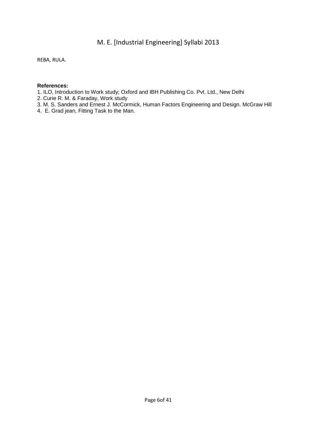REBA, RULA.

- 1. ILO, Introduction to Work study; Oxford and IBH Publishing Co. Pvt. Ltd., New Delhi
- 2. Curie R. M. & Faraday, Work study
- 3. M. S. Sanders and Ernest J. McCormick, Human Factors Engineering and Design. McGraw Hill
- 4. E. Grad jean, Fitting Task to the Man.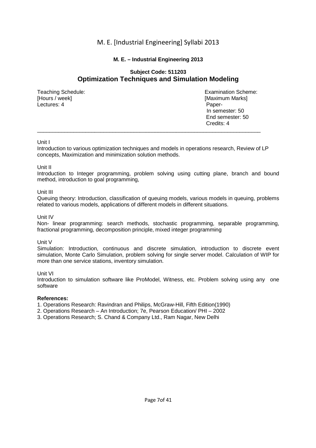## **M. E. – Industrial Engineering 2013**

## **Subject Code: 511203 Optimization Techniques and Simulation Modeling**

[Hours / week] **[Maximum Marks]** [Maximum Marks] Lectures: 4 Paper-

Teaching Schedule: Examination Scheme: In semester: 50 End semester: 50<br>Credits: 4 Credits: 4

#### Unit I

Introduction to various optimization techniques and models in operations research, Review of LP concepts, Maximization and minimization solution methods.

\_\_\_\_\_\_\_\_\_\_\_\_\_\_\_\_\_\_\_\_\_\_\_\_\_\_\_\_\_\_\_\_\_\_\_\_\_\_\_\_\_\_\_\_\_\_\_\_\_\_\_\_\_\_\_\_\_\_\_\_\_\_\_\_\_\_\_\_\_\_\_\_\_\_

#### Unit II

Introduction to Integer programming, problem solving using cutting plane, branch and bound method, introduction to goal programming,

#### Unit III

Queuing theory: Introduction, classification of queuing models, various models in queuing, problems related to various models, applications of different models in different situations.

#### Unit IV

Non- linear programming: search methods, stochastic programming, separable programming, fractional programming, decomposition principle, mixed integer programming

#### Unit V

Simulation: Introduction, continuous and discrete simulation, introduction to discrete event simulation, Monte Carlo Simulation, problem solving for single server model. Calculation of WIP for more than one service stations, inventory simulation.

#### Unit VI

Introduction to simulation software like ProModel, Witness, etc. Problem solving using any one software

#### **References:**

1. Operations Research: Ravindran and Philips, McGraw-Hill, Fifth Edition(1990)

- 2. Operations Research An Introduction; 7e, Pearson Education/ PHI 2002
- 3. Operations Research; S. Chand & Company Ltd., Ram Nagar, New Delhi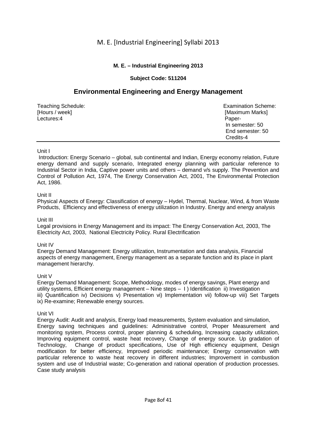## **M. E. – Industrial Engineering 2013**

## **Subject Code: 511204**

# **Environmental Engineering and Energy Management**

| Teaching Schedule: | <b>Examination Scheme:</b> |
|--------------------|----------------------------|
| [Hours / week]     | [Maximum Marks]            |
| Lectures:4         | Paper-                     |
|                    | In semester: 50            |
|                    | End semester: 50           |
|                    | Credits-4                  |

## Unit I

 Introduction: Energy Scenario – global, sub continental and Indian, Energy economy relation, Future energy demand and supply scenario, Integrated energy planning with particular reference to Industrial Sector in India, Captive power units and others – demand v/s supply. The Prevention and Control of Pollution Act, 1974, The Energy Conservation Act, 2001, The Environmental Protection Act, 1986.

## Unit II

Physical Aspects of Energy: Classification of energy – Hydel, Thermal, Nuclear, Wind, & from Waste Products, Efficiency and effectiveness of energy utilization in Industry. Energy and energy analysis

## Unit III

Legal provisions in Energy Management and its impact: The Energy Conservation Act, 2003, The Electricity Act, 2003, National Electricity Policy. Rural Electrification

## Unit IV

Energy Demand Management: Energy utilization, Instrumentation and data analysis, Financial aspects of energy management, Energy management as a separate function and its place in plant management hierarchy.

## Unit V

Energy Demand Management: Scope, Methodology, modes of energy savings, Plant energy and utility systems, Efficient energy management – Nine steps – I ) Identification ii) Investigation iii) Quantification iv) Decisions v) Presentation vi) Implementation vii) follow-up viii) Set Targets ix) Re-examine; Renewable energy sources.

## Unit VI

Energy Audit: Audit and analysis, Energy load measurements, System evaluation and simulation, Energy saving techniques and guidelines: Administrative control, Proper Measurement and monitoring system, Process control, proper planning & scheduling, Increasing capacity utilization, Improving equipment control, waste heat recovery, Change of energy source. Up gradation of Technology, Change of product specifications, Use of High efficiency equipment, Design modification for better efficiency, Improved periodic maintenance; Energy conservation with particular reference to waste heat recovery in different industries; Improvement in combustion system and use of Industrial waste; Co-generation and rational operation of production processes. Case study analysis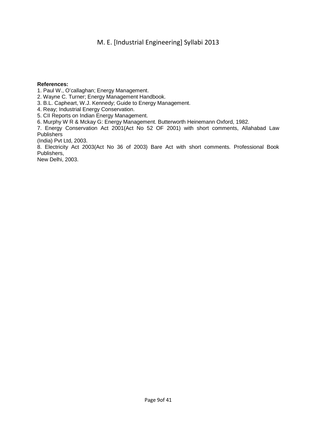#### **References:**

1. Paul W., O'callaghan; Energy Management.

2. Wayne C. Turner; Energy Management Handbook.

3. B.L. Capheart, W.J. Kennedy; Guide to Energy Management.

4. Reay; Industrial Energy Conservation.

5. CII Reports on Indian Energy Management.

6. Murphy W R & Mckay G: Energy Management. Butterworth Heinemann Oxford, 1982.

7. Energy Conservation Act 2001(Act No 52 OF 2001) with short comments, Allahabad Law **Publishers** 

(India) Pvt Ltd, 2003.

8. Electricity Act 2003(Act No 36 of 2003) Bare Act with short comments. Professional Book Publishers,

New Delhi, 2003.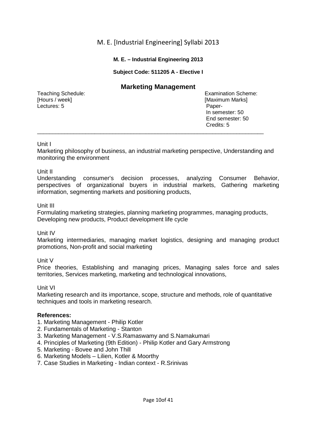## **M. E. – Industrial Engineering 2013**

## **Subject Code: 511205 A - Elective I**

## **Marketing Management**

[Hours / week] **[Maximum Marks]** [Maximum Marks] Lectures: 5 Paper-

Teaching Schedule: Examination Scheme: In semester: 50 End semester: 50 Credits: 5

## Unit I

Marketing philosophy of business, an industrial marketing perspective, Understanding and monitoring the environment

 $\_$  ,  $\_$  ,  $\_$  ,  $\_$  ,  $\_$  ,  $\_$  ,  $\_$  ,  $\_$  ,  $\_$  ,  $\_$  ,  $\_$  ,  $\_$  ,  $\_$  ,  $\_$  ,  $\_$  ,  $\_$  ,  $\_$  ,  $\_$  ,  $\_$  ,  $\_$  ,  $\_$  ,  $\_$  ,  $\_$  ,  $\_$  ,  $\_$  ,  $\_$  ,  $\_$  ,  $\_$  ,  $\_$  ,  $\_$  ,  $\_$  ,  $\_$  ,  $\_$  ,  $\_$  ,  $\_$  ,  $\_$  ,  $\_$  ,

## Unit II

Understanding consumer's decision processes, analyzing Consumer Behavior, perspectives of organizational buyers in industrial markets, Gathering marketing information, segmenting markets and positioning products,

## Unit III

Formulating marketing strategies, planning marketing programmes, managing products, Developing new products, Product development life cycle

## Unit IV

Marketing intermediaries, managing market logistics, designing and managing product promotions, Non-profit and social marketing

## Unit V

Price theories, Establishing and managing prices, Managing sales force and sales territories, Services marketing, marketing and technological innovations,

## Unit VI

Marketing research and its importance, scope, structure and methods, role of quantitative techniques and tools in marketing research.

- 1. Marketing Management Philip Kotler
- 2. Fundamentals of Marketing Stanton
- 3. Marketing Management V.S.Ramaswamy and S.Namakumari
- 4. Principles of Marketing (9th Edition) Philip Kotler and Gary Armstrong
- 5. Marketing Bovee and John Thill
- 6. Marketing Models Lilien, Kotler & Moorthy
- 7. Case Studies in Marketing Indian context R.Srinivas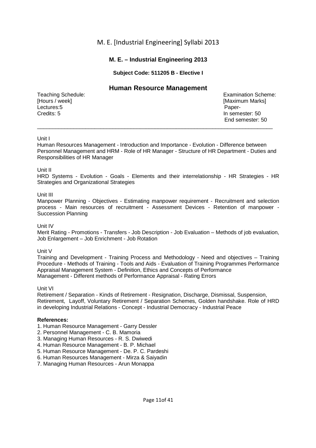## **M. E. – Industrial Engineering 2013**

## **Subject Code: 511205 B - Elective I**

## **Human Resource Management**

[Hours / week] **[Maximum Marks]** [Maximum Marks] Lectures:5 Paper-Credits: 5 In semester: 50

Teaching Schedule: Examination Scheme: End semester: 50

#### Unit I

Human Resources Management - Introduction and Importance - Evolution - Difference between Personnel Management and HRM - Role of HR Manager - Structure of HR Department - Duties and Responsibilities of HR Manager

\_\_\_\_\_\_\_\_\_\_\_\_\_\_\_\_\_\_\_\_\_\_\_\_\_\_\_\_\_\_\_\_\_\_\_\_\_\_\_\_\_\_\_\_\_\_\_\_\_\_\_\_\_\_\_\_\_\_\_\_\_\_\_\_\_\_\_\_\_\_\_\_\_\_\_\_\_\_

#### Unit II

HRD Systems - Evolution - Goals - Elements and their interrelationship - HR Strategies - HR Strategies and Organizational Strategies

#### Unit III

Manpower Planning - Objectives - Estimating manpower requirement - Recruitment and selection process - Main resources of recruitment - Assessment Devices - Retention of manpower - Succession Planning

Unit IV

Merit Rating - Promotions - Transfers - Job Description - Job Evaluation – Methods of job evaluation, Job Enlargement – Job Enrichment - Job Rotation

#### Unit V

Training and Development - Training Process and Methodology - Need and objectives – Training Procedure - Methods of Training - Tools and Aids - Evaluation of Training Programmes Performance Appraisal Management System - Definition, Ethics and Concepts of Performance Management - Different methods of Performance Appraisal - Rating Errors

#### Unit VI

Retirement / Separation - Kinds of Retirement - Resignation, Discharge, Dismissal, Suspension, Retirement, Layoff, Voluntary Retirement / Separation Schemes, Golden handshake. Role of HRD in developing Industrial Relations - Concept - Industrial Democracy - Industrial Peace

- 1. Human Resource Management Garry Dessler
- 2. Personnel Management C. B. Mamoria
- 3. Managing Human Resources R. S. Dwiwedi
- 4. Human Resource Management B. P. Michael
- 5. Human Resource Management De. P. C. Pardeshi
- 6. Human Resources Management Mirza & Saiyadin
- 7. Managing Human Resources Arun Monappa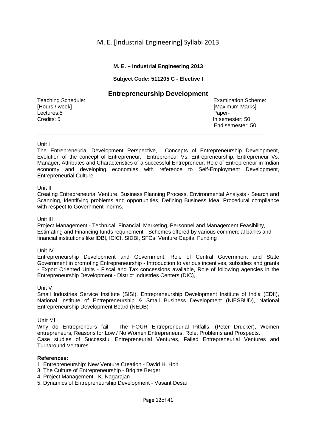## **M. E. – Industrial Engineering 2013**

## **Subject Code: 511205 C - Elective I**

## **Entrepreneurship Development**

[Hours / week] **[Maximum Marks]** [Maximum Marks] Lectures:5 Paper-Credits: 5 In semester: 50

Teaching Schedule: Examination Scheme: End semester: 50

#### Unit I

The Entrepreneurial Development Perspective, Concepts of Entrepreneurship Development, Evolution of the concept of Entrepreneur, Entrepreneur Vs. Entrepreneurship, Entrepreneur Vs. Manager, Attributes and Characteristics of a successful Entrepreneur, Role of Entrepreneur in Indian economy and developing economies with reference to Self-Employment Development, Entrepreneurial Culture

**\_\_\_\_\_\_\_\_\_\_\_\_\_\_\_\_\_\_\_\_\_\_\_\_\_\_\_\_\_\_\_\_\_\_\_\_\_\_\_\_\_\_\_\_\_\_\_\_\_\_\_\_\_\_\_\_\_\_\_\_\_\_\_\_\_\_\_\_\_\_\_\_\_\_\_** 

#### Unit II

Creating Entrepreneurial Venture, Business Planning Process, Environmental Analysis - Search and Scanning, Identifying problems and opportunities, Defining Business Idea, Procedural compliance with respect to Government norms.

#### Unit III

Project Management - Technical, Financial, Marketing, Personnel and Management Feasibility, Estimating and Financing funds requirement - Schemes offered by various commercial banks and financial institutions like IDBI, ICICI, SIDBI, SFCs, Venture Capital Funding

#### Unit IV

Entrepreneurship Development and Government, Role of Central Government and State Government in promoting Entrepreneurship - Introduction to various incentives, subsidies and grants - Export Oriented Units - Fiscal and Tax concessions available, Role of following agencies in the Entrepreneurship Development - District Industries Centers (DIC),

#### Unit V

Small Industries Service Institute (SISI), Entrepreneurship Development Institute of India (EDII), National Institute of Entrepreneurship & Small Business Development (NIESBUD), National Entrepreneurship Development Board (NEDB)

## Unit VI

Why do Entrepreneurs fail - The FOUR Entrepreneurial Pitfalls, (Peter Drucker), Women entrepreneurs, Reasons for Low / No Women Entrepreneurs, Role, Problems and Prospects.

Case studies of Successful Entrepreneurial Ventures, Failed Entrepreneurial Ventures and Turnaround Ventures

- 1. Entrepreneurship: New Venture Creation David H. Holt
- 3. The Culture of Entrepreneurship Brigitte Berger
- 4. Project Management K. Nagarajan
- 5. Dynamics of Entrepreneurship Development Vasant Desai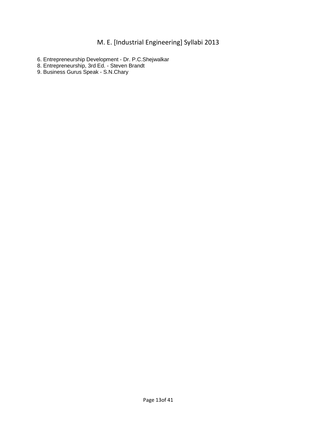- 6. Entrepreneurship Development Dr. P.C.Shejwalkar
- 8. Entrepreneurship, 3rd Ed. Steven Brandt
- 9. Business Gurus Speak S.N.Chary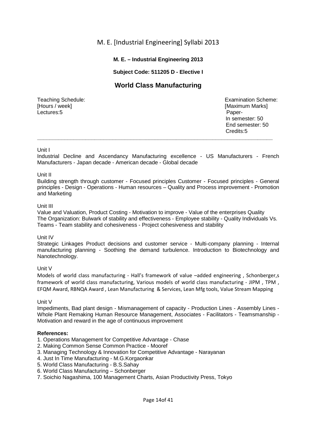## **M. E. – Industrial Engineering 2013**

## **Subject Code: 511205 D - Elective I**

# **World Class Manufacturing**

[Hours / week] **[Maximum Marks]** [Maximum Marks] Lectures:5 Paper-

Teaching Schedule: Examination Scheme: In semester: 50 End semester: 50 **Credits:5 Credits:5 \_\_\_\_\_\_\_\_\_\_\_\_\_\_\_\_\_\_\_\_\_\_\_\_\_\_\_\_\_\_\_\_\_\_\_\_\_\_\_\_\_\_\_\_\_\_\_\_\_\_\_\_\_\_\_\_\_\_\_\_\_\_\_\_\_\_\_\_\_\_\_\_\_\_\_\_\_\_** 

## Unit I

Industrial Decline and Ascendancy Manufacturing excellence - US Manufacturers - French Manufacturers - Japan decade - American decade - Global decade

#### Unit II

Building strength through customer - Focused principles Customer - Focused principles - General principles - Design - Operations - Human resources – Quality and Process improvement - Promotion and Marketing

#### Unit III

Value and Valuation, Product Costing - Motivation to improve - Value of the enterprises Quality The Organization: Bulwark of stability and effectiveness - Employee stability - Quality Individuals Vs. Teams - Team stability and cohesiveness - Project cohesiveness and stability

#### Unit IV

Strategic Linkages Product decisions and customer service - Multi-company planning - Internal manufacturing planning - Soothing the demand turbulence. Introduction to Biotechnology and Nanotechnology.

#### Unit V

Models of world class manufacturing - Hall's framework of value –added engineering , Schonberger,s framework of world class manufacturing, Various models of world class manufacturing - JIPM , TPM , EFQM Award, RBNQA Award , Lean Manufacturing & Services, Lean Mfg tools, Value Stream Mapping

Unit V

Impediments, Bad plant design - Mismanagement of capacity - Production Lines - Assembly Lines - Whole Plant Remaking Human Resource Management, Associates - Facilitators - Teamsmanship - Motivation and reward in the age of continuous improvement

- 1. Operations Management for Competitive Advantage Chase
- 2. Making Common Sense Common Practice Mooref
- 3. Managing Technology & Innovation for Competitive Advantage Narayanan
- 4. Just In Time Manufacturing M.G.Korgaonkar
- 5. World Class Manufacturing B.S.Sahay
- 6. World Class Manufacturing Schonberger
- 7. Soichio Nagashima, 100 Management Charts, Asian Productivity Press, Tokyo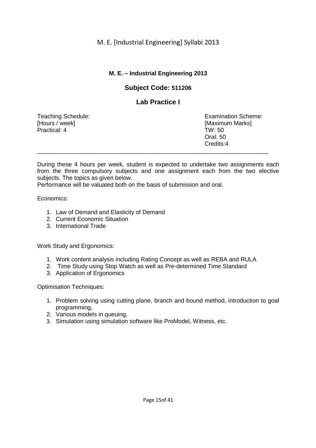# **M. E. – Industrial Engineering 2013**

# **Subject Code: 511206**

# **Lab Practice I**

[Hours / week] [Maximum Marks] Practical: 4 TW: 50

Teaching Schedule: Examination Scheme: Oral: 50 Credits:4 \_\_\_\_\_\_\_\_\_\_\_\_\_\_\_\_\_\_\_\_\_\_\_\_\_\_\_\_\_\_\_\_\_\_\_\_\_\_\_\_\_\_\_\_\_\_\_\_\_\_\_\_\_\_\_\_\_\_\_\_\_\_\_\_\_\_\_\_\_\_

During these 4 hours per week, student is expected to undertake two assignments each from the three compulsory subjects and one assignment each from the two elective subjects. The topics as given below.

Performance will be valuated both on the basis of submission and oral.

## Economics:

- 1. Law of Demand and Elasticity of Demand
- 2. Current Economic Situation
- 3. International Trade

Work Study and Ergonomics:

- 1. Work content analysis including Rating Concept as well as REBA and RULA
- 2. Time Study using Stop Watch as well as Pre-determined Time Standard
- 3. Application of Ergonomics

Optimisation Techniques:

- 1. Problem solving using cutting plane, branch and bound method, introduction to goal programming,
- 2. Various models in queuing,
- 3. Simulation using simulation software like ProModel, Witness, etc.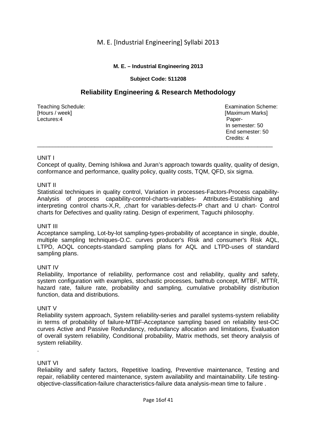## **M. E. – Industrial Engineering 2013**

## **Subject Code: 511208**

# **Reliability Engineering & Research Methodology**

[Hours / week] **[Maximum Marks]** [Maximum Marks] Lectures:4 Paper-

Teaching Schedule: Examination Scheme: In semester: 50 End semester: 50 **Credits: 4** Credits: 4 \_\_\_\_\_\_\_\_\_\_\_\_\_\_\_\_\_\_\_\_\_\_\_\_\_\_\_\_\_\_\_\_\_\_\_\_\_\_\_\_\_\_\_\_\_\_\_\_\_\_\_\_\_\_\_\_\_\_\_\_\_\_\_\_\_\_\_\_\_\_\_\_\_\_\_\_\_\_

## UNIT I

Concept of quality, Deming Ishikwa and Juran's approach towards quality, quality of design, conformance and performance, quality policy, quality costs, TQM, QFD, six sigma.

## UNIT II

Statistical techniques in quality control, Variation in processes-Factors-Process capability-Analysis of process capability-control-charts-variables- Attributes-Establishing and interpreting control charts-X,R, ,chart for variables-defects-P chart and U chart- Control charts for Defectives and quality rating. Design of experiment, Taguchi philosophy.

## UNIT III

Acceptance sampling, Lot-by-lot sampling-types-probability of acceptance in single, double, multiple sampling techniques-O.C. curves producer's Risk and consumer's Risk AQL, LTPD, AOQL concepts-standard sampling plans for AQL and LTPD-uses of standard sampling plans.

## UNIT IV

Reliability, Importance of reliability, performance cost and reliability, quality and safety, system configuration with examples, stochastic processes, bathtub concept, MTBF, MTTR, hazard rate, failure rate, probability and sampling, cumulative probability distribution function, data and distributions.

## UNIT V

Reliability system approach, System reliability-series and parallel systems-system reliability in terms of probability of failure-MTBF-Acceptance sampling based on reliability test-OC curves Active and Passive Redundancy, redundancy allocation and limitations, Evaluation of overall system reliability, Conditional probability, Matrix methods, set theory analysis of system reliability.

## UNIT VI

.

Reliability and safety factors, Repetitive loading, Preventive maintenance, Testing and repair, reliability centered maintenance, system availability and maintainability. Life testingobjective-classification-failure characteristics-failure data analysis-mean time to failure .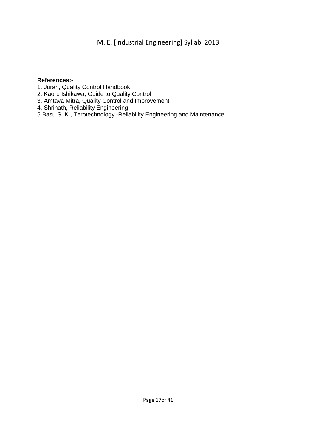- 1. Juran, Quality Control Handbook
- 2. Kaoru Ishikawa, Guide to Quality Control
- 3. Amtava Mitra, Quality Control and Improvement
- 4. Shrinath, Reliability Engineering
- 5 Basu S. K., Terotechnology -Reliability Engineering and Maintenance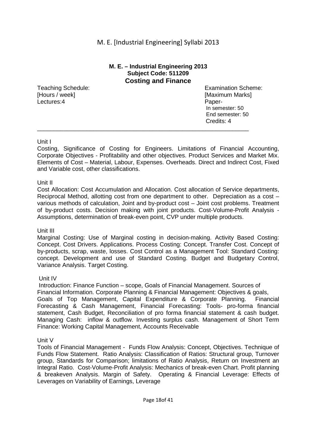## **M. E. – Industrial Engineering 2013 Subject Code: 511209 Costing and Finance**

[Hours / week] [Maximum Marks] **Lectures:4** Paper-

Teaching Schedule: Examination Scheme: In semester: 50 End semester: 50 Credits: 4

## Unit I

Costing, Significance of Costing for Engineers. Limitations of Financial Accounting, Corporate Objectives - Profitability and other objectives. Product Services and Market Mix. Elements of Cost – Material, Labour, Expenses. Overheads. Direct and Indirect Cost, Fixed and Variable cost, other classifications.

\_\_\_\_\_\_\_\_\_\_\_\_\_\_\_\_\_\_\_\_\_\_\_\_\_\_\_\_\_\_\_\_\_\_\_\_\_\_\_\_\_\_\_\_\_\_\_\_\_\_\_\_\_\_\_\_\_\_\_\_\_\_\_\_

## Unit II

Cost Allocation: Cost Accumulation and Allocation. Cost allocation of Service departments, Reciprocal Method, allotting cost from one department to other. Depreciation as a cost – various methods of calculation, Joint and by-product cost – Joint cost problems. Treatment of by-product costs. Decision making with joint products. Cost-Volume-Profit Analysis - Assumptions, determination of break-even point, CVP under multiple products.

## Unit III

Marginal Costing: Use of Marginal costing in decision-making. Activity Based Costing: Concept. Cost Drivers. Applications. Process Costing: Concept. Transfer Cost. Concept of by-products, scrap, waste, losses. Cost Control as a Management Tool: Standard Costing: concept. Development and use of Standard Costing. Budget and Budgetary Control, Variance Analysis. Target Costing.

## Unit IV

 Introduction: Finance Function – scope, Goals of Financial Management. Sources of Financial Information. Corporate Planning & Financial Management: Objectives & goals, Goals of Top Management, Capital Expenditure & Corporate Planning. Financial Forecasting & Cash Management, Financial Forecasting: Tools- pro-forma financial statement, Cash Budget, Reconciliation of pro forma financial statement & cash budget. Managing Cash: inflow & outflow. Investing surplus cash. Management of Short Term Finance: Working Capital Management, Accounts Receivable

Unit V

Tools of Financial Management - Funds Flow Analysis: Concept, Objectives. Technique of Funds Flow Statement. Ratio Analysis: Classification of Ratios: Structural group, Turnover group, Standards for Comparison; limitations of Ratio Analysis, Return on Investment an Integral Ratio. Cost-Volume-Profit Analysis: Mechanics of break-even Chart. Profit planning & breakeven Analysis. Margin of Safety. Operating & Financial Leverage: Effects of Leverages on Variability of Earnings, Leverage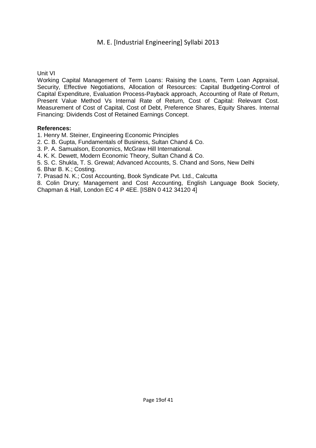Unit VI

Working Capital Management of Term Loans: Raising the Loans, Term Loan Appraisal, Security, Effective Negotiations, Allocation of Resources: Capital Budgeting-Control of Capital Expenditure, Evaluation Process-Payback approach, Accounting of Rate of Return, Present Value Method Vs Internal Rate of Return, Cost of Capital: Relevant Cost. Measurement of Cost of Capital, Cost of Debt, Preference Shares, Equity Shares. Internal Financing: Dividends Cost of Retained Earnings Concept.

## **References:**

1. Henry M. Steiner, Engineering Economic Principles

2. C. B. Gupta, Fundamentals of Business, Sultan Chand & Co.

3. P. A. Samualson, Economics, McGraw Hill International.

4. K. K. Dewett, Modern Economic Theory, Sultan Chand & Co.

5. S. C. Shukla, T. S. Grewal; Advanced Accounts, S. Chand and Sons, New Delhi

6. Bhar B. K.; Costing.

7. Prasad N. K.; Cost Accounting, Book Syndicate Pvt. Ltd., Calcutta

8. Colin Drury; Management and Cost Accounting, English Language Book Society, Chapman & Hall, London EC 4 P 4EE. [ISBN 0 412 34120 4]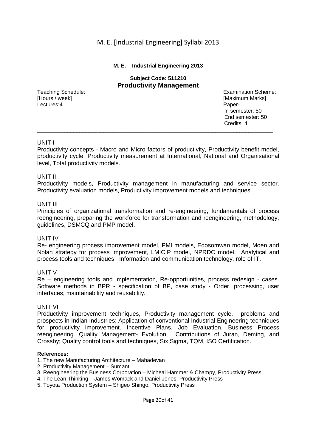#### **M. E. – Industrial Engineering 2013**

## **Subject Code: 511210 Productivity Management**

Lectures:4 Paper-

Teaching Schedule: Examination Scheme:<br>
Examination Scheme:<br>
Examination Scheme:<br>
Examination Scheme:<br>
Examination Scheme: [Maximum Marks] In semester: 50 End semester: 50<br>Credits: 4 **Credits: 4** Credits: 4

## UNIT I

Productivity concepts - Macro and Micro factors of productivity, Productivity benefit model, productivity cycle. Productivity measurement at International, National and Organisational level, Total productivity models.

\_\_\_\_\_\_\_\_\_\_\_\_\_\_\_\_\_\_\_\_\_\_\_\_\_\_\_\_\_\_\_\_\_\_\_\_\_\_\_\_\_\_\_\_\_\_\_\_\_\_\_\_\_\_\_\_\_\_\_\_\_\_\_\_\_\_\_\_\_\_\_\_\_\_\_\_\_\_

#### UNIT II

Productivity models, Productivity management in manufacturing and service sector. Productivity evaluation models, Productivity improvement models and techniques.

#### UNIT III

Principles of organizational transformation and re-engineering, fundamentals of process reengineering, preparing the workforce for transformation and reengineering, methodology, guidelines, DSMCQ and PMP model.

#### UNIT IV

Re- engineering process improvement model, PMI models, Edosomwan model, Moen and Nolan strategy for process improvement, LMICIP model, NPRDC model. Analytical and process tools and techniques, Information and communication technology, role of IT.

#### UNIT V

Re – engineering tools and implementation, Re-opportunities, process redesign - cases. Software methods in BPR - specification of BP, case study - Order, processing, user interfaces, maintainability and reusability.

#### UNIT VI

Productivity improvement techniques, Productivity management cycle, problems and prospects in Indian Industries; Application of conventional Industrial Engineering techniques for productivity improvement. Incentive Plans, Job Evaluation. Business Process reengineering. Quality Management- Evolution, Contributions of Juran, Deming, and Crossby; Quality control tools and techniques, Six Sigma, TQM, ISO Certification.

- 1. The new Manufacturing Architecture Mahadevan
- 2. Productivity Management Sumant
- 3. Reengineering the Business Corporation Micheal Hammer & Champy, Productivity Press
- 4. The Lean Thinking James Womack and Daniel Jones, Productivity Press
- 5. Toyota Production System Shigeo Shingo, Productivity Press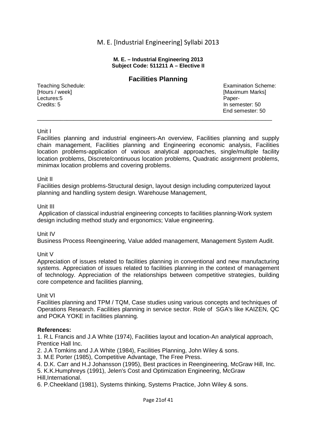#### **M. E. – Industrial Engineering 2013 Subject Code: 511211 A – Elective II**

## **Facilities Planning**

**Lectures:5** Paper-Credits: 5 In semester: 50

Teaching Schedule: Examination Scheme:<br>
[Hours / week] [Hours / week] [Examination Scheme: Examination Scheme: Examination Scheme: [Examination Scheme [Maximum Marks] End semester: 50 \_\_\_\_\_\_\_\_\_\_\_\_\_\_\_\_\_\_\_\_\_\_\_\_\_\_\_\_\_\_\_\_\_\_\_\_\_\_\_\_\_\_\_\_\_\_\_\_\_\_\_\_\_\_\_\_\_\_\_\_\_\_\_\_\_\_\_\_\_\_\_

## Unit I

Facilities planning and industrial engineers-An overview, Facilities planning and supply chain management, Facilities planning and Engineering economic analysis, Facilities location problems-application of various analytical approaches, single/multiple facility location problems, Discrete/continuous location problems, Quadratic assignment problems, minimax location problems and covering problems.

## Unit II

Facilities design problems-Structural design, layout design including computerized layout planning and handling system design. Warehouse Management,

## Unit III

 Application of classical industrial engineering concepts to facilities planning-Work system design including method study and ergonomics; Value engineering.

## Unit IV

Business Process Reengineering, Value added management, Management System Audit.

## Unit V

Appreciation of issues related to facilities planning in conventional and new manufacturing systems. Appreciation of issues related to facilities planning in the context of management of technology. Appreciation of the relationships between competitive strategies, building core competence and facilities planning,

## Unit VI

Facilities planning and TPM / TQM, Case studies using various concepts and techniques of Operations Research. Facilities planning in service sector. Role of SGA's like KAIZEN, QC and POKA YOKE in facilities planning.

## **References:**

1. R.L Francis and J.A White (1974), Facilities layout and location-An analytical approach, Prentice Hall Inc.

2. J.A Tomkins and J.A White (1984), Facilities Planning, John Wiley & sons.

3. M.E Porter (1985), Competitive Advantage, The Free Press.

4. D.K. Carr and H.J Johansson (1995), Best practices in Reengineering, McGraw Hill, Inc.

5. K.K.Humphreys (1991), Jelen's Cost and Optimization Engineering, McGraw Hill,International.

6. P.Cheekland (1981), Systems thinking, Systems Practice, John Wiley & sons.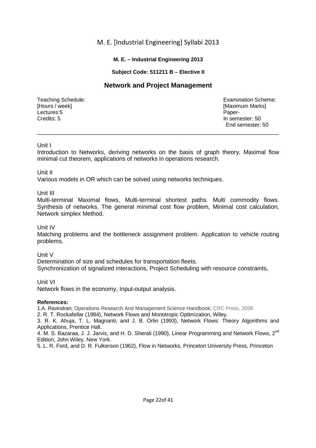## **M. E. – Industrial Engineering 2013**

## **Subject Code: 511211 B – Elective II**

# **Network and Project Management**

[Hours / week] **[Maximum Marks]** [Maximum Marks] **Lectures:5** Paper-Credits: 5 In semester: 50

Teaching Schedule: Examination Scheme: End semester: 50

## Unit I

Introduction to Networks, deriving networks on the basis of graph theory, Maximal flow minimal cut theorem, applications of networks in operations research.

\_\_\_\_\_\_\_\_\_\_\_\_\_\_\_\_\_\_\_\_\_\_\_\_\_\_\_\_\_\_\_\_\_\_\_\_\_\_\_\_\_\_\_\_\_\_\_\_\_\_\_\_\_\_\_\_\_\_\_\_\_\_\_\_\_\_\_\_\_\_\_\_\_

## Unit II

Various models in OR which can be solved using networks techniques.

## Unit III

Multi-terminal Maximal flows, Multi-terminal shortest paths. Multi commodity flows. Synthesis of networks. The general minimal cost flow problem, Minimal cost calculation, Network simplex Method.

## Unit IV

Matching problems and the bottleneck assignment problem. Application to vehicle routing problems.

## Unit V

Determination of size and schedules for transportation fleets. Synchronization of signalized interactions, Project Scheduling with resource constraints,

## Unit VI

Network flows in the economy, Input-output analysis.

## **References:**

1.A. Ravindran; Operations Research And Management Science Handbook; CRC Press, 2008

2. R. T. Rockafellar (1984), Network Flows and Monotropic Optimization, Wiley.

3. R. K. Ahuja, T. L. Magnanti, and J. B. Orlin (1993), Network Flows: Theory Algorithms and Applications, Prentice Hall.

4. M. S. Bazaraa, J. J. Jarvis, and H. D. Sherali (1990), Linear Programming and Network Flows, 2<sup>nd</sup> Edition, John Wiley, New York.

5. L. R. Ford, and D. R. Fulkerson (1962), Flow in Networks, Princeton University Press, Princeton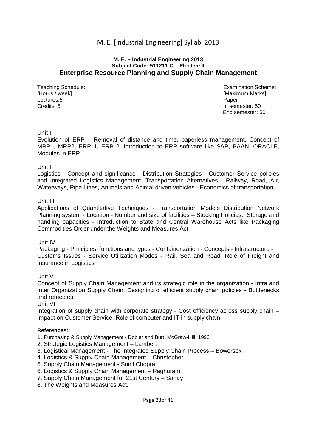#### **M. E. – Industrial Engineering 2013 Subject Code: 511211 C – Elective II Enterprise Resource Planning and Supply Chain Management**

[Hours / week] **[Maximum Marks]** [Maximum Marks] Lectures:5 Paper-Credits: 5 In semester: 50

Teaching Schedule: Examination Scheme: Examination Scheme: End semester: 50

## Unit I

Evolution of ERP – Removal of distance and time, paperless management, Concept of MRP1, MRP2, ERP 1, ERP 2. Introduction to ERP software like SAP, BAAN, ORACLE, Modules in ERP

\_\_\_\_\_\_\_\_\_\_\_\_\_\_\_\_\_\_\_\_\_\_\_\_\_\_\_\_\_\_\_\_\_\_\_\_\_\_\_\_\_\_\_\_\_\_\_\_\_\_\_\_\_\_\_\_\_\_\_\_\_\_\_\_\_\_\_\_\_\_\_\_

## Unit II

Logistics - Concept and significance - Distribution Strategies - Customer Service policies and Integrated Logistics Management. Transportation Alternatives - Railway, Road, Air, Waterways, Pipe Lines, Animals and Animal driven vehicles - Economics of transportation -

## Unit III

Applications of Quantitative Techniques - Transportation Models Distribution Network Planning system - Location - Number and size of facilities – Stocking Policies, Storage and handling capacities - Introduction to State and Central Warehouse Acts like Packaging Commodities Order under the Weights and Measures Act.

## Unit IV

Packaging - Principles, functions and types - Containerization - Concepts - Infrastructure - Customs Issues - Service Utilization Modes - Rail, Sea and Road. Role of Freight and Insurance in Logistics

Unit V

Concept of Supply Chain Management and its strategic role in the organization - Intra and Inter Organization Supply Chain, Designing of efficient supply chain policies - Bottlenecks and remedies

Unit VI

Integration of supply chain with corporate strategy - Cost efficiency across supply chain – Impact on Customer Service. Role of computer and IT in supply chain

- 1. Purchasing & Supply Management Dobler and Burt; McGraw-Hill, 1996
- 2. Strategic Logistics Management Lambert
- 3. Logistical Management The Integrated Supply Chain Process Bowersox
- 4. Logistics & Supply Chain Management Christopher
- 5. Supply Chain Management Sunil Chopra
- 6. Logistics & Supply Chain Management Raghuram
- 7. Supply Chain Management for 21st Century Sahay
- 8. The Weights and Measures Act.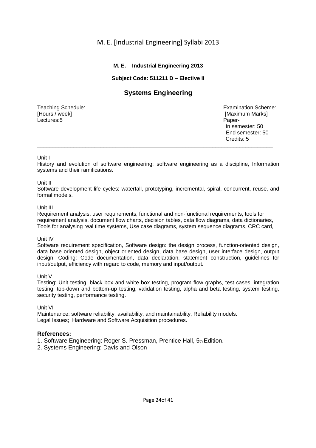## **M. E. – Industrial Engineering 2013**

## **Subject Code: 511211 D – Elective II**

# **Systems Engineering**

**Lectures:5** Paper-

Teaching Schedule: Examination Scheme: Examination Scheme: Examination Scheme: Examination Scheme: Examination Scheme: IN [Maximum Marks] In semester: 50 End semester: 50 **Credits: 5 Credits: 5** 

## Unit I

History and evolution of software engineering: software engineering as a discipline, Information systems and their ramifications.

\_\_\_\_\_\_\_\_\_\_\_\_\_\_\_\_\_\_\_\_\_\_\_\_\_\_\_\_\_\_\_\_\_\_\_\_\_\_\_\_\_\_\_\_\_\_\_\_\_\_\_\_\_\_\_\_\_\_\_\_\_\_\_\_\_\_\_\_\_\_\_\_\_\_\_\_\_\_

## Unit II

Software development life cycles: waterfall, prototyping, incremental, spiral, concurrent, reuse, and formal models.

## Unit III

Requirement analysis, user requirements, functional and non-functional requirements, tools for requirement analysis, document flow charts, decision tables, data flow diagrams, data dictionaries, Tools for analysing real time systems, Use case diagrams, system sequence diagrams, CRC card,

## Unit IV

Software requirement specification, Software design: the design process, function-oriented design, data base oriented design, object oriented design, data base design, user interface design, output design. Coding: Code documentation, data declaration, statement construction, guidelines for input/output, efficiency with regard to code, memory and input/output.

## Unit V

Testing: Unit testing, black box and white box testing, program flow graphs, test cases, integration testing, top-down and bottom-up testing, validation testing, alpha and beta testing, system testing, security testing, performance testing.

## Unit VI

Maintenance: software reliability, availability, and maintainability, Reliability models. Legal Issues; Hardware and Software Acquisition procedures.

## **References:**

1. Software Engineering: Roger S. Pressman, Prentice Hall, 5th Edition.

2. Systems Engineering: Davis and Olson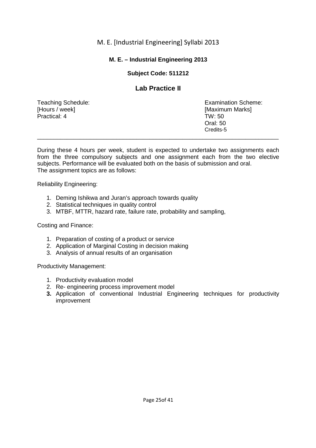# **M. E. – Industrial Engineering 2013**

# **Subject Code: 511212**

# **Lab Practice II**

[Hours / week] [Maximum Marks] Practical: 4 TW: 50

Teaching Schedule: Examination Scheme: Oral: 50 Credits-5 \_\_\_\_\_\_\_\_\_\_\_\_\_\_\_\_\_\_\_\_\_\_\_\_\_\_\_\_\_\_\_\_\_\_\_\_\_\_\_\_\_\_\_\_\_\_\_\_\_\_\_\_\_\_\_\_\_\_\_\_\_\_\_\_\_\_\_\_\_\_\_\_\_

During these 4 hours per week, student is expected to undertake two assignments each from the three compulsory subjects and one assignment each from the two elective subjects. Performance will be evaluated both on the basis of submission and oral. The assignment topics are as follows:

Reliability Engineering:

- 1. Deming Ishikwa and Juran's approach towards quality
- 2. Statistical techniques in quality control
- 3. MTBF, MTTR, hazard rate, failure rate, probability and sampling,

Costing and Finance:

- 1. Preparation of costing of a product or service
- 2. Application of Marginal Costing in decision making
- 3. Analysis of annual results of an organisation

Productivity Management:

- 1. Productivity evaluation model
- 2. Re- engineering process improvement model
- **3.** Application of conventional Industrial Engineering techniques for productivity improvement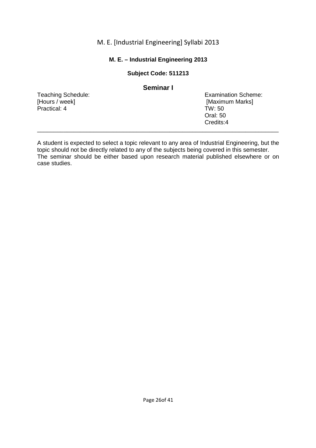## **M. E. – Industrial Engineering 2013**

## **Subject Code: 511213**

|                    | Seminar I                  |
|--------------------|----------------------------|
| Teaching Schedule: | <b>Examination Scheme:</b> |
| [Hours / week]     | [Maximum Marks]            |
| Practical: 4       | TW:50                      |
|                    | Oral: 50                   |
|                    | Credits:4                  |

A student is expected to select a topic relevant to any area of Industrial Engineering, but the topic should not be directly related to any of the subjects being covered in this semester. The seminar should be either based upon research material published elsewhere or on case studies.

\_\_\_\_\_\_\_\_\_\_\_\_\_\_\_\_\_\_\_\_\_\_\_\_\_\_\_\_\_\_\_\_\_\_\_\_\_\_\_\_\_\_\_\_\_\_\_\_\_\_\_\_\_\_\_\_\_\_\_\_\_\_\_\_\_\_\_\_\_\_\_\_\_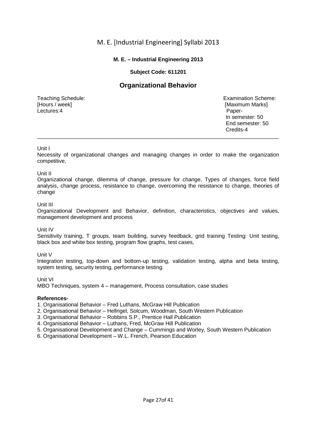## **M. E. – Industrial Engineering 2013**

## **Subject Code: 611201**

# **Organizational Behavior**

Lectures:4 **Paper-**

Teaching Schedule: Examination Scheme:<br>
[Hours / week] [Maximum Marks] [Maximum Marks] In semester: 50 End semester: 50 **Credits-4 Credits-4** 

#### Unit I

Necessity of organizational changes and managing changes in order to make the organization competitive,

\_\_\_\_\_\_\_\_\_\_\_\_\_\_\_\_\_\_\_\_\_\_\_\_\_\_\_\_\_\_\_\_\_\_\_\_\_\_\_\_\_\_\_\_\_\_\_\_\_\_\_\_\_\_\_\_\_\_\_\_\_\_\_\_\_\_\_\_\_\_\_\_\_\_\_\_\_\_\_\_

#### Unit II

Organizational change, dilemma of change, pressure for change, Types of changes, force field analysis, change process, resistance to change, overcoming the resistance to change, theories of change

#### Unit III

Organizational Development and Behavior, definition, characteristics, objectives and values, management development and process

Unit IV

Sensitivity training, T groups, team building, survey feedback, grid training Testing: Unit testing, black box and white box testing, program flow graphs, test cases,

#### Unit V

Integration testing, top-down and bottom-up testing, validation testing, alpha and beta testing, system testing, security testing, performance testing.

## Unit VI

MBO Techniques, system 4 – management, Process consultation, case studies

#### **References-**

1. Organisational Behavior – Fred Luthans, McGraw Hill Publication

- 2. Organisational Behavior Hellrigel, Solcum, Woodman, South Western Publication
- 3. Organisational Behavior Robbins S.P., Prentice Hall Publication
- 4. Organisational Behavior Luthans, Fred, McGraw Hill Publication
- 5. Organisational Development and Change Cummings and Worley, South Western Publication
- 6. Organisational Development W.L. French, Pearson Education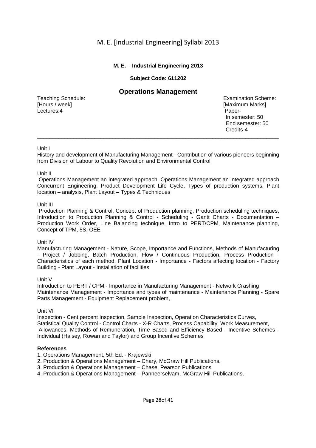## **M. E. – Industrial Engineering 2013**

## **Subject Code: 611202**

## **Operations Management**

Lectures:4 Paper-

Teaching Schedule: Teaching Schedule: Examination Scheme: Examination Scheme: Examination Scheme: Formulation Scheme: Examination Scheme: Formulation Scheme: Formulation Scheme: Formulation Scheme: Formulation Scheme: Form **[Maximum Marks]**  In semester: 50 End semester: 50 **Credits-4 Credits-4** 

#### Unit I

History and development of Manufacturing Management - Contribution of various pioneers beginning from Division of Labour to Quality Revolution and Environmental Control

\_\_\_\_\_\_\_\_\_\_\_\_\_\_\_\_\_\_\_\_\_\_\_\_\_\_\_\_\_\_\_\_\_\_\_\_\_\_\_\_\_\_\_\_\_\_\_\_\_\_\_\_\_\_\_\_\_\_\_\_\_\_\_\_\_\_\_\_\_\_\_\_\_\_\_\_\_\_\_\_

#### Unit II

 Operations Management an integrated approach, Operations Management an integrated approach Concurrent Engineering, Product Development Life Cycle, Types of production systems, Plant location – analysis, Plant Layout – Types & Techniques

#### Unit III

 Production Planning & Control, Concept of Production planning, Production scheduling techniques, Introduction to Production Planning & Control - Scheduling - Gantt Charts - Documentation – Production Work Order, Line Balancing technique, Intro to PERT/CPM, Maintenance planning, Concept of TPM, 5S, OEE

#### Unit IV

Manufacturing Management - Nature, Scope, Importance and Functions, Methods of Manufacturing - Project / Jobbing, Batch Production, Flow / Continuous Production, Process Production - Characteristics of each method, Plant Location - Importance - Factors affecting location - Factory Building - Plant Layout - Installation of facilities

#### Unit V

Introduction to PERT / CPM - Importance in Manufacturing Management - Network Crashing Maintenance Management - Importance and types of maintenance - Maintenance Planning - Spare Parts Management - Equipment Replacement problem,

#### Unit VI

Inspection - Cent percent Inspection, Sample Inspection, Operation Characteristics Curves, Statistical Quality Control - Control Charts - X-R Charts, Process Capability, Work Measurement, Allowances, Methods of Remuneration, Time Based and Efficiency Based - Incentive Schemes - Individual (Halsey, Rowan and Taylor) and Group Incentive Schemes

- 1. Operations Management, 5th Ed. Krajewski
- 2. Production & Operations Management Chary, McGraw Hill Publications,
- 3. Production & Operations Management Chase, Pearson Publications
- 4. Production & Operations Management Panneerselvam, McGraw Hill Publications,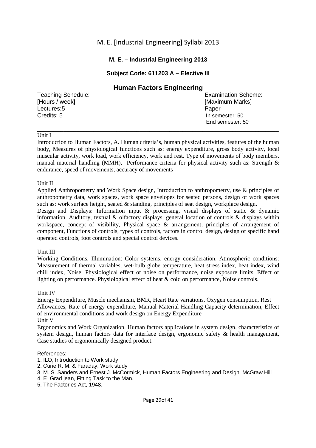## **M. E. – Industrial Engineering 2013**

## **Subject Code: 611203 A – Elective III**

|                    | <b>Human Factors Engineering</b> |
|--------------------|----------------------------------|
| Teaching Schedule: | <b>Examination Scheme:</b>       |
| [Hours / week]     | [Maximum Marks]                  |
| Lectures:5         | Paper-                           |
| Credits: 5         | In semester: 50                  |
|                    | End semester: 50                 |

#### Unit I

Introduction to Human Factors, A. Human criteria's, human physical activities, features of the human body, Measures of physiological functions such as: energy expenditure, gross body activity, local muscular activity, work load, work efficiency, work and rest. Type of movements of body members. manual material handling (MMH), Performance criteria for physical activity such as: Strength  $\&$ endurance, speed of movements, accuracy of movements

\_\_\_\_\_\_\_\_\_\_\_\_\_\_\_\_\_\_\_\_\_\_\_\_\_\_\_\_\_\_\_\_\_\_\_\_\_\_\_\_\_\_\_\_\_\_\_\_\_\_\_\_\_\_\_\_\_\_\_\_\_\_\_\_\_\_\_\_\_\_\_\_\_

#### Unit II

Applied Anthropometry and Work Space design, Introduction to anthropometry, use & principles of anthropometry data, work spaces, work space envelopes for seated persons, design of work spaces such as: work surface height, seated & standing, principles of seat design, workplace design.

Design and Displays: Information input & processing, visual displays of static & dynamic information. Auditory, textual & olfactory displays, general location of controls & displays within workspace, concept of visibility, Physical space & arrangement, principles of arrangement of component, Functions of controls, types of controls, factors in control design, design of specific hand operated controls, foot controls and special control devices.

## Unit III

Working Conditions, Illumination: Color systems, energy consideration, Atmospheric conditions: Measurement of thermal variables, wet-bulb globe temperature, heat stress index, heat index, wind chill index, Noise: Physiological effect of noise on performance, noise exposure limits, Effect of lighting on performance. Physiological effect of heat & cold on performance, Noise controls.

## Unit IV

Energy Expenditure, Muscle mechanism, BMR, Heart Rate variations, Oxygen consumption, Rest Allowances, Rate of energy expenditure, Manual Material Handling Capacity determination, Effect of environmental conditions and work design on Energy Expenditure Unit V

Ergonomics and Work Organization, Human factors applications in system design, characteristics of system design, human factors data for interface design, ergonomic safety & health management, Case studies of ergonomically designed product.

- 1. ILO, Introduction to Work study
- 2. Curie R. M. & Faraday, Work study
- 3. M. S. Sanders and Ernest J. McCormick, Human Factors Engineering and Design. McGraw Hill
- 4. E Grad jean, Fitting Task to the Man.
- 5. The Factories Act, 1948.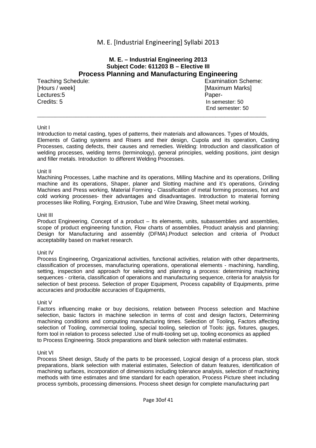## **M. E. – Industrial Engineering 2013 Subject Code: 611203 B – Elective III Process Planning and Manufacturing Engineering**  Teaching Schedule: Examination Scheme: [Hours / week] [Maximum Marks] Lectures:5 Paper-

Credits: 5 In semester: 50

End semester: 50

#### Unit I

Introduction to metal casting, types of patterns, their materials and allowances. Types of Moulds, Elements of Gating systems and Risers and their design, Cupola and its operation, Casting Processes, casting defects, their causes and remedies. Welding: Introduction and classification of welding processes, welding terms (terminology), general principles, welding positions, joint design and filler metals. Introduction to different Welding Processes.

\_\_\_\_\_\_\_\_\_\_\_\_\_\_\_\_\_\_\_\_\_\_\_\_\_\_\_\_\_\_\_\_\_\_\_\_\_\_\_\_\_\_\_\_\_\_\_\_\_\_\_\_\_\_\_\_\_\_\_\_\_\_\_\_\_\_\_\_\_\_\_\_\_\_\_\_\_

#### Unit II

Machining Processes, Lathe machine and its operations, Milling Machine and its operations, Drilling machine and its operations, Shaper, planer and Slotting machine and it's operations, Grinding Machines and Press working, Material Forming - Classification of metal forming processes, hot and cold working processes- their advantages and disadvantages. Introduction to material forming processes like Rolling, Forging, Extrusion, Tube and Wire Drawing, Sheet metal working.

#### Unit III

Product Engineering, Concept of a product – Its elements, units, subassemblies and assemblies, scope of product engineering function, Flow charts of assemblies, Product analysis and planning: Design for Manufacturing and assembly (DFMA).Product selection and criteria of Product acceptability based on market research.

#### Unit IV

Process Engineering, Organizational activities, functional activities, relation with other departments, classification of processes, manufacturing operations, operational elements - machining, handling, setting, inspection and approach for selecting and planning a process: determining machining sequences - criteria, classification of operations and manufacturing sequence, criteria for analysis for selection of best process. Selection of proper Equipment, Process capability of Equipments, prime accuracies and producible accuracies of Equipments,

#### Unit V

Factors influencing make or buy decisions, relation between Process selection and Machine selection, basic factors in machine selection in terms of cost and design factors. Determining machining conditions and computing manufacturing times. Selection of Tooling, Factors affecting selection of Tooling, commercial tooling, special tooling, selection of Tools: jigs, fixtures, gauges, form tool in relation to process selected .Use of multi-tooling set up, tooling economics as applied to Process Engineering. Stock preparations and blank selection with material estimates.

#### Unit VI

Process Sheet design, Study of the parts to be processed, Logical design of a process plan, stock preparations, blank selection with material estimates, Selection of datum features, identification of machining surfaces, incorporation of dimensions including tolerance analysis, selection of machining methods with time estimates and time standard for each operation, Process Picture sheet including process symbols, processing dimensions. Process sheet design for complete manufacturing part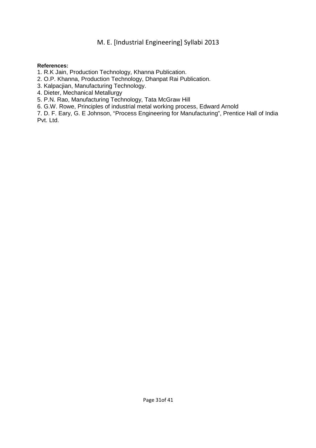- 1. R.K Jain, Production Technology, Khanna Publication.
- 2. O.P. Khanna, Production Technology, Dhanpat Rai Publication.
- 3. Kalpacjian, Manufacturing Technology.
- 4. Dieter, Mechanical Metallurgy
- 5. P.N. Rao, Manufacturing Technology, Tata McGraw Hill
- 6. G.W. Rowe, Principles of industrial metal working process, Edward Arnold
- 7. D. F. Eary, G. E Johnson, "Process Engineering for Manufacturing", Prentice Hall of India Pvt. Ltd.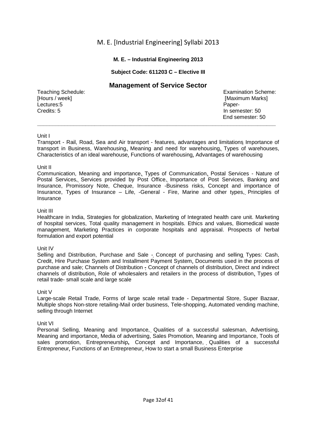## **M. E. – Industrial Engineering 2013**

## **Subject Code: 611203 C – Elective III**

## **Management of Service Sector**

[Hours / week] **[Maximum Marks]** [Maximum Marks] Lectures:5 Paper-Credits: 5 In semester: 50

Teaching Schedule: The Contract of Teaching Scheme: Examination Scheme: End semester: 50

#### Unit I

Transport - Rail, Road, Sea and Air transport - features, advantages and limitations Importance of transport in Business, Warehousing, Meaning and need for warehousing, Types of warehouses, Characteristics of an ideal warehouse, Functions of warehousing, Advantages of warehousing

**\_\_\_\_\_\_\_\_\_\_\_\_\_\_\_\_\_\_\_\_\_\_\_\_\_\_\_\_\_\_\_\_\_\_\_\_\_\_\_\_\_\_\_\_\_\_\_\_\_\_\_\_\_\_\_\_\_\_\_\_\_\_\_\_\_\_\_\_\_\_\_\_\_\_\_\_\_\_\_** 

#### Unit II

Communication, Meaning and importance, Types of Communication, Postal Services - Nature of Postal Services, Services provided by Post Office, Importance of Post Services, Banking and Insurance, Promissory Note, Cheque, Insurance -Business risks, Concept and importance of Insurance, Types of Insurance – Life, -General - Fire, Marine and other types, Principles of Insurance

#### Unit III

Healthcare in India, Strategies for globalization, Marketing of Integrated health care unit. Marketing of hospital services, Total quality management in hospitals. Ethics and values, Biomedical waste management, Marketing Practices in corporate hospitals and appraisal. Prospects of herbal formulation and export potential

#### Unit IV

Selling and Distribution, Purchase and Sale - Concept of purchasing and selling Types: Cash, Credit, Hire Purchase System and Installment Payment System, Documents used in the process of purchase and sale; Channels of Distribution **-** Concept of channels of distribution, Direct and indirect channels of distribution, Role of wholesalers and retailers in the process of distribution, Types of retail trade- small scale and large scale

#### Unit V

Large-scale Retail Trade, Forms of large scale retail trade - Departmental Store, Super Bazaar, Multiple shops Non-store retailing-Mail order business, Tele-shopping, Automated vending machine, selling through Internet

#### Unit VI

Personal Selling, Meaning and Importance, Qualities of a successful salesman, Advertising, Meaning and importance, Media of advertising, Sales Promotion, Meaning and Importance, Tools of sales promotion, Entrepreneurship**,** Concept and Importance, Qualities of a successful Entrepreneur, Functions of an Entrepreneur, How to start a small Business Enterprise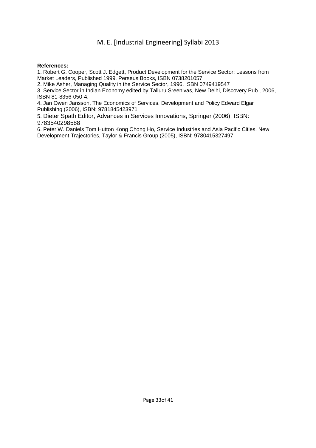#### **References:**

1. Robert G. Cooper, Scott J. Edgett, Product Development for the Service Sector: Lessons from Market Leaders, Published 1999, Perseus Books, ISBN 0738201057

2. Mike Asher, Managing Quality in the Service Sector, 1996, ISBN 0749419547

3. Service Sector in Indian Economy edited by Talluru Sreenivas, New Delhi, Discovery Pub., 2006, ISBN 81-8356-050-4.

4. Jan Owen Jansson, The Economics of Services. Development and Policy Edward Elgar Publishing (2006), ISBN: 9781845423971

5. Dieter Spath Editor, Advances in Services Innovations, Springer (2006), ISBN: 9783540298588

6. Peter W. Daniels Tom Hutton Kong Chong Ho, Service Industries and Asia Pacific Cities. New Development Trajectories, Taylor & Francis Group (2005), ISBN: 9780415327497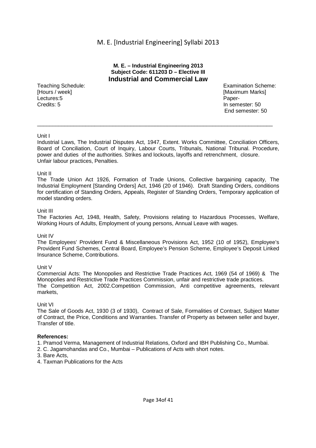#### **M. E. – Industrial Engineering 2013 Subject Code: 611203 D – Elective III Industrial and Commercial Law**

[Hours / week] **[Maximum Marks]** [Maximum Marks] **Lectures:5** Paper-Credits: 5 In semester: 50

Teaching Schedule: Examination Scheme: Examination Scheme: End semester: 50

#### Unit I

Industrial Laws, The Industrial Disputes Act, 1947, Extent. Works Committee, Conciliation Officers, Board of Conciliation, Court of Inquiry, Labour Courts, Tribunals, National Tribunal. Procedure, power and duties of the authorities. Strikes and lockouts, layoffs and retrenchment, closure. Unfair labour practices, Penalties.

 $\_$  ,  $\_$  ,  $\_$  ,  $\_$  ,  $\_$  ,  $\_$  ,  $\_$  ,  $\_$  ,  $\_$  ,  $\_$  ,  $\_$  ,  $\_$  ,  $\_$  ,  $\_$  ,  $\_$  ,  $\_$  ,  $\_$  ,  $\_$  ,  $\_$  ,  $\_$  ,  $\_$  ,  $\_$  ,  $\_$  ,  $\_$  ,  $\_$  ,  $\_$  ,  $\_$  ,  $\_$  ,  $\_$  ,  $\_$  ,  $\_$  ,  $\_$  ,  $\_$  ,  $\_$  ,  $\_$  ,  $\_$  ,  $\_$  ,

#### Unit II

The Trade Union Act 1926, Formation of Trade Unions, Collective bargaining capacity, The Industrial Employment [Standing Orders] Act, 1946 (20 of 1946). Draft Standing Orders, conditions for certification of Standing Orders, Appeals, Register of Standing Orders, Temporary application of model standing orders.

#### Unit III

The Factories Act, 1948, Health, Safety, Provisions relating to Hazardous Processes, Welfare, Working Hours of Adults, Employment of young persons, Annual Leave with wages.

#### Unit IV

The Employees' Provident Fund & Miscellaneous Provisions Act, 1952 (10 of 1952), Employee's Provident Fund Schemes, Central Board, Employee's Pension Scheme, Employee's Deposit Linked Insurance Scheme, Contributions.

#### Unit V

Commercial Acts: The Monopolies and Restrictive Trade Practices Act, 1969 (54 of 1969) & The Monopolies and Restrictive Trade Practices Commission, unfair and restrictive trade practices. The Competition Act, 2002.Competition Commission, Anti competitive agreements, relevant markets,

#### Unit VI

The Sale of Goods Act, 1930 (3 of 1930), Contract of Sale, Formalities of Contract, Subject Matter of Contract, the Price, Conditions and Warranties. Transfer of Property as between seller and buyer, Transfer of title.

- 1. Pramod Verma, Management of Industrial Relations, Oxford and IBH Publishing Co., Mumbai.
- 2. C. Jagamohandas and Co., Mumbai Publications of Acts with short notes.
- 3. Bare Acts,
- 4. Taxman Publications for the Acts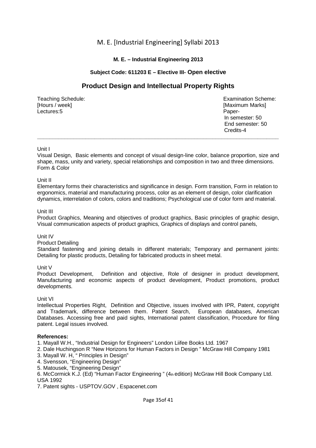## **M. E. – Industrial Engineering 2013**

## **Subject Code: 611203 E – Elective III- Open elective**

# **Product Design and Intellectual Property Rights**

[Hours / week] **[Maximum Marks]** [Maximum Marks] **Lectures:5** Paper-

Teaching Schedule: Examination Scheme: In semester: 50 End semester: 50 **Credits-4 Credits-4** 

#### Unit I

Visual Design, Basic elements and concept of visual design-line color, balance proportion, size and shape, mass, unity and variety, special relationships and composition in two and three dimensions. Form & Color

**\_\_\_\_\_\_\_\_\_\_\_\_\_\_\_\_\_\_\_\_\_\_\_\_\_\_\_\_\_\_\_\_\_\_\_\_\_\_\_\_\_\_\_\_\_\_\_\_\_\_\_\_\_\_\_\_\_\_\_\_\_\_\_\_\_\_\_\_\_\_\_\_\_\_\_\_\_\_\_\_** 

#### Unit II

Elementary forms their characteristics and significance in design. Form transition, Form in relation to ergonomics, material and manufacturing process, color as an element of design, color clarification dynamics, interrelation of colors, colors and traditions; Psychological use of color form and material.

#### Unit III

Product Graphics, Meaning and objectives of product graphics, Basic principles of graphic design, Visual communication aspects of product graphics, Graphics of displays and control panels,

#### Unit IV

Product Detailing

Standard fastening and joining details in different materials; Temporary and permanent joints: Detailing for plastic products, Detailing for fabricated products in sheet metal.

Unit V

Product Development, Definition and objective, Role of designer in product development, Manufacturing and economic aspects of product development, Product promotions, product developments.

#### Unit VI

Intellectual Properties Right, Definition and Objective, issues involved with IPR, Patent, copyright and Trademark, difference between them. Patent Search, European databases, American Databases. Accessing free and paid sights, International patent classification, Procedure for filing patent. Legal issues involved.

#### **References:**

1. Mayall W.H., "Industrial Design for Engineers" London Liifee Books Ltd. 1967

- 2. Dale Huchingson R "New Horizons for Human Factors in Design " McGraw Hill Company 1981
- 3. Mayall W. H, " Principles in Design"
- 4. Svensson, "Engineering Design"
- 5. Matousek, "Engineering Design"

6. McCormick K.J. (Ed) "Human Factor Engineering " (4th edition) McGraw Hill Book Company Ltd. USA 1992

7. Patent sights - USPTOV.GOV , Espacenet.com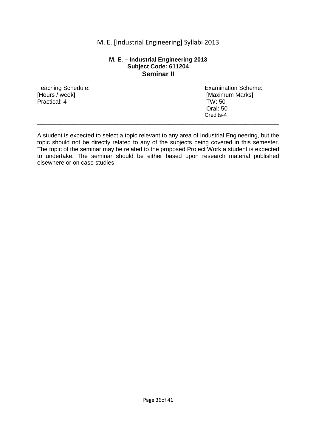#### **M. E. – Industrial Engineering 2013 Subject Code: 611204 Seminar II**

[Hours / week] [Maximum Marks] Practical: 4 TW: 50

Teaching Schedule: Examination Scheme: Oral: 50 Credits-4

A student is expected to select a topic relevant to any area of Industrial Engineering, but the topic should not be directly related to any of the subjects being covered in this semester. The topic of the seminar may be related to the proposed Project Work a student is expected to undertake. The seminar should be either based upon research material published elsewhere or on case studies.

\_\_\_\_\_\_\_\_\_\_\_\_\_\_\_\_\_\_\_\_\_\_\_\_\_\_\_\_\_\_\_\_\_\_\_\_\_\_\_\_\_\_\_\_\_\_\_\_\_\_\_\_\_\_\_\_\_\_\_\_\_\_\_\_\_\_\_\_\_\_\_\_\_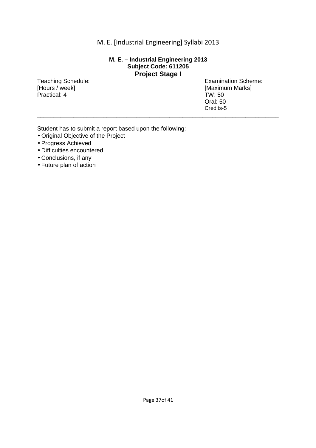## **M. E. – Industrial Engineering 2013 Subject Code: 611205 Project Stage I**

\_\_\_\_\_\_\_\_\_\_\_\_\_\_\_\_\_\_\_\_\_\_\_\_\_\_\_\_\_\_\_\_\_\_\_\_\_\_\_\_\_\_\_\_\_\_\_\_\_\_\_\_\_\_\_\_\_\_\_\_\_\_\_\_\_\_\_\_\_\_\_\_\_

Practical: 4 TW: 50

Teaching Schedule: Examination Scheme:<br>
[Hours / week] [Maximum Marks] [Maximum Marks] Oral: 50 Credits-5

Student has to submit a report based upon the following:

- Original Objective of the Project
- Progress Achieved
- Difficulties encountered
- Conclusions, if any
- Future plan of action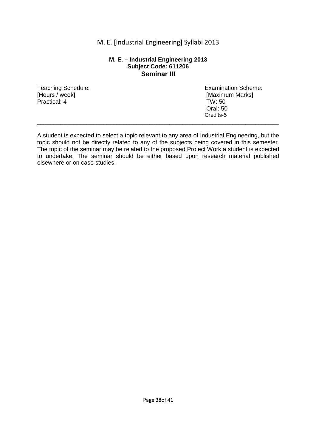#### **M. E. – Industrial Engineering 2013 Subject Code: 611206 Seminar III**

[Hours / week] [Maximum Marks] Practical: 4 TW: 50

Teaching Schedule: Examination Scheme: Oral: 50 Credits-5

A student is expected to select a topic relevant to any area of Industrial Engineering, but the topic should not be directly related to any of the subjects being covered in this semester. The topic of the seminar may be related to the proposed Project Work a student is expected to undertake. The seminar should be either based upon research material published elsewhere or on case studies.

\_\_\_\_\_\_\_\_\_\_\_\_\_\_\_\_\_\_\_\_\_\_\_\_\_\_\_\_\_\_\_\_\_\_\_\_\_\_\_\_\_\_\_\_\_\_\_\_\_\_\_\_\_\_\_\_\_\_\_\_\_\_\_\_\_\_\_\_\_\_\_\_\_